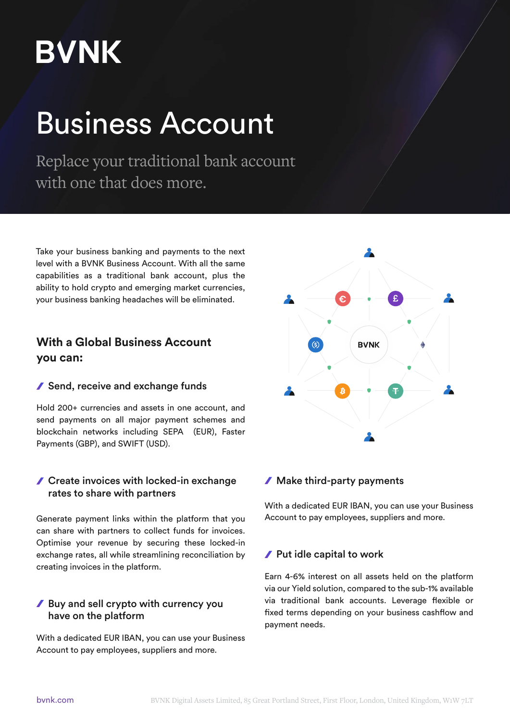# **BVNK**

# Business Account

Replace your traditional bank account with one that does more.

Take your business banking and payments to the next level with a BVNK Business Account. With all the same capabilities as a traditional bank account, plus the ability to hold crypto and emerging market currencies, your business banking headaches will be eliminated.

# **With a Global Business Account you can:**

# **∕ Send, receive and exchange funds**

Hold 200+ currencies and assets in one account, and send payments on all major payment schemes and blockchain networks including SEPA (EUR), Faster Payments (GBP), and SWIFT (USD).

# Create invoices with locked-in exchange rates to share with partners

Generate payment links within the platform that you can share with partners to collect funds for invoices. Optimise your revenue by securing these locked-in exchange rates, all while streamlining reconciliation by creating invoices in the platform.

# Buy and sell crypto with currency you have on the platform

With a dedicated EUR IBAN, you can use your Business Account to pay employees, suppliers and more.



### $\blacktriangleright$  Make third-party payments

With a dedicated EUR IBAN, you can use your Business Account to pay employees, suppliers and more.

# **∕ Put idle capital to work**

Earn 4-6% interest on all assets held on the platform via our Yield solution, compared to the sub-1% available via traditional bank accounts. Leverage flexible or fixed terms depending on your business cashflow and payment needs.